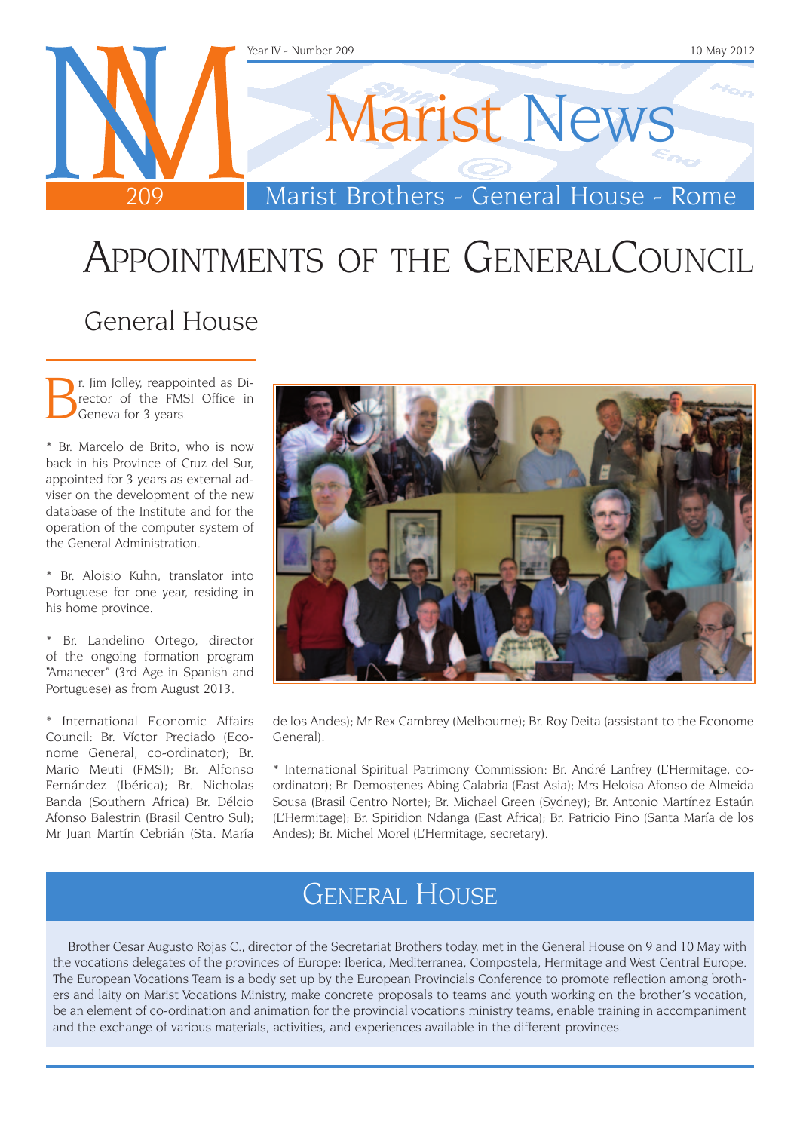

# Appointments of the GeneralCouncil

#### General House

**B**r. Jim Jolley, reappointed as Director of the FMSI Office in Geneva for 3 years. rector of the FMSI Office in Geneva for 3 years.

\* Br. Marcelo de Brito, who is now back in his Province of Cruz del Sur, appointed for 3 years as external adviser on the development of the new database of the Institute and for the operation of the computer system of the General Administration.

\* Br. Aloisio Kuhn, translator into Portuguese for one year, residing in his home province.

\* Br. Landelino Ortego, director of the ongoing formation program "Amanecer" (3rd Age in Spanish and Portuguese) as from August 2013.

\* International Economic Affairs Council: Br. Víctor Preciado (Econome General, co-ordinator); Br. Mario Meuti (FMSI); Br. Alfonso Fernández (Ibérica); Br. Nicholas Banda (Southern Africa) Br. Délcio Afonso Balestrin (Brasil Centro Sul); Mr Juan Martín Cebrián (Sta. María



de los Andes); Mr Rex Cambrey (Melbourne); Br. Roy Deita (assistant to the Econome General).

\* International Spiritual Patrimony Commission: Br. André Lanfrey (L'Hermitage, coordinator); Br. Demostenes Abing Calabria (East Asia); Mrs Heloisa Afonso de Almeida Sousa (Brasil Centro Norte); Br. Michael Green (Sydney); Br. Antonio Martínez Estaún (L'Hermitage); Br. Spiridion Ndanga (East Africa); Br. Patricio Pino (Santa María de los Andes); Br. Michel Morel (L'Hermitage, secretary).

#### General House

Brother Cesar Augusto Rojas C., director of the Secretariat Brothers today, met in the General House on 9 and 10 May with the vocations delegates of the provinces of Europe: Iberica, Mediterranea, Compostela, Hermitage and West Central Europe. The European Vocations Team is a body set up by the European Provincials Conference to promote reflection among brothers and laity on Marist Vocations Ministry, make concrete proposals to teams and youth working on the brother's vocation, be an element of co-ordination and animation for the provincial vocations ministry teams, enable training in accompaniment and the exchange of various materials, activities, and experiences available in the different provinces.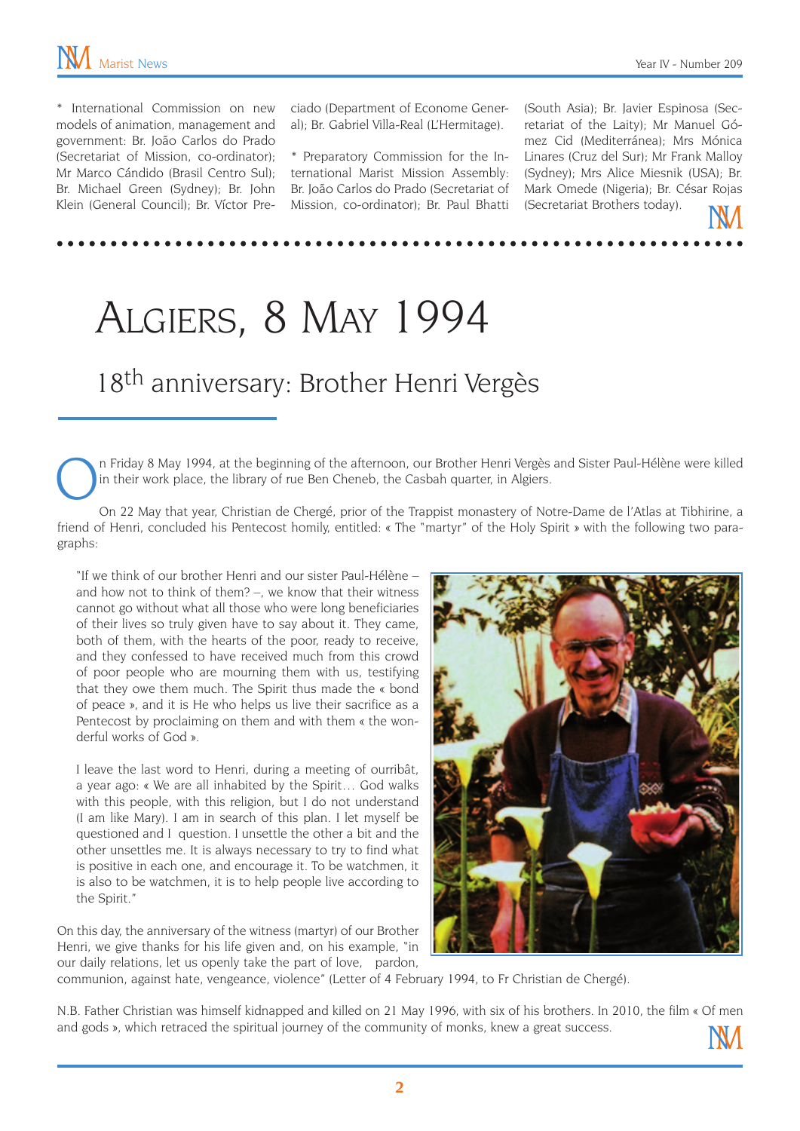\* International Commission on new models of animation, management and government: Br. João Carlos do Prado (Secretariat of Mission, co-ordinator); Mr Marco Cándido (Brasil Centro Sul); Br. Michael Green (Sydney); Br. John Klein (General Council); Br. Víctor Preciado (Department of Econome General); Br. Gabriel Villa-Real (L'Hermitage).

\* Preparatory Commission for the International Marist Mission Assembly: Br. João Carlos do Prado (Secretariat of Mission, co-ordinator); Br. Paul Bhatti

(South Asia); Br. Javier Espinosa (Secretariat of the Laity); Mr Manuel Gómez Cid (Mediterránea); Mrs Mónica Linares (Cruz del Sur); Mr Frank Malloy (Sydney); Mrs Alice Miesnik (USA); Br. Mark Omede (Nigeria); Br. César Rojas (Secretariat Brothers today).

## Algiers, 8 May 1994

### 18<sup>th</sup> anniversary: Brother Henri Vergès

n Friday 8 May 1994, at the beginning of the afternoon, our Brother Henri Vergès and Sister Paul-Hélène were killed in their work place, the library of rue Ben Cheneb, the Casbah quarter, in Algiers.

On 22 May that year, Christian de Chergé, prior of the Trappist monastery of Notre-Dame de l'Atlas at Tibhirine, a friend of Henri, concluded his Pentecost homily, entitled: « The "martyr" of the Holy Spirit » with the following two paragraphs:

"If we think of our brother Henri and our sister Paul-Hélène – and how not to think of them? –, we know that their witness cannot go without what all those who were long beneficiaries of their lives so truly given have to say about it. They came, both of them, with the hearts of the poor, ready to receive, and they confessed to have received much from this crowd of poor people who are mourning them with us, testifying that they owe them much. The Spirit thus made the « bond of peace », and it is He who helps us live their sacrifice as a Pentecost by proclaiming on them and with them « the wonderful works of God ».

I leave the last word to Henri, during a meeting of ourribât, a year ago: « We are all inhabited by the Spirit… God walks with this people, with this religion, but I do not understand (I am like Mary). I am in search of this plan. I let myself be questioned and I question. I unsettle the other a bit and the other unsettles me. It is always necessary to try to find what is positive in each one, and encourage it. To be watchmen, it is also to be watchmen, it is to help people live according to the Spirit."

On this day, the anniversary of the witness (martyr) of our Brother Henri, we give thanks for his life given and, on his example, "in our daily relations, let us openly take the part of love, pardon,



communion, against hate, vengeance, violence" (Letter of 4 February 1994, to Fr Christian de Chergé).

N.B. Father Christian was himself kidnapped and killed on 21 May 1996, with six of his brothers. In 2010, the film « Of men and gods », which retraced the spiritual journey of the community of monks, knew a great success.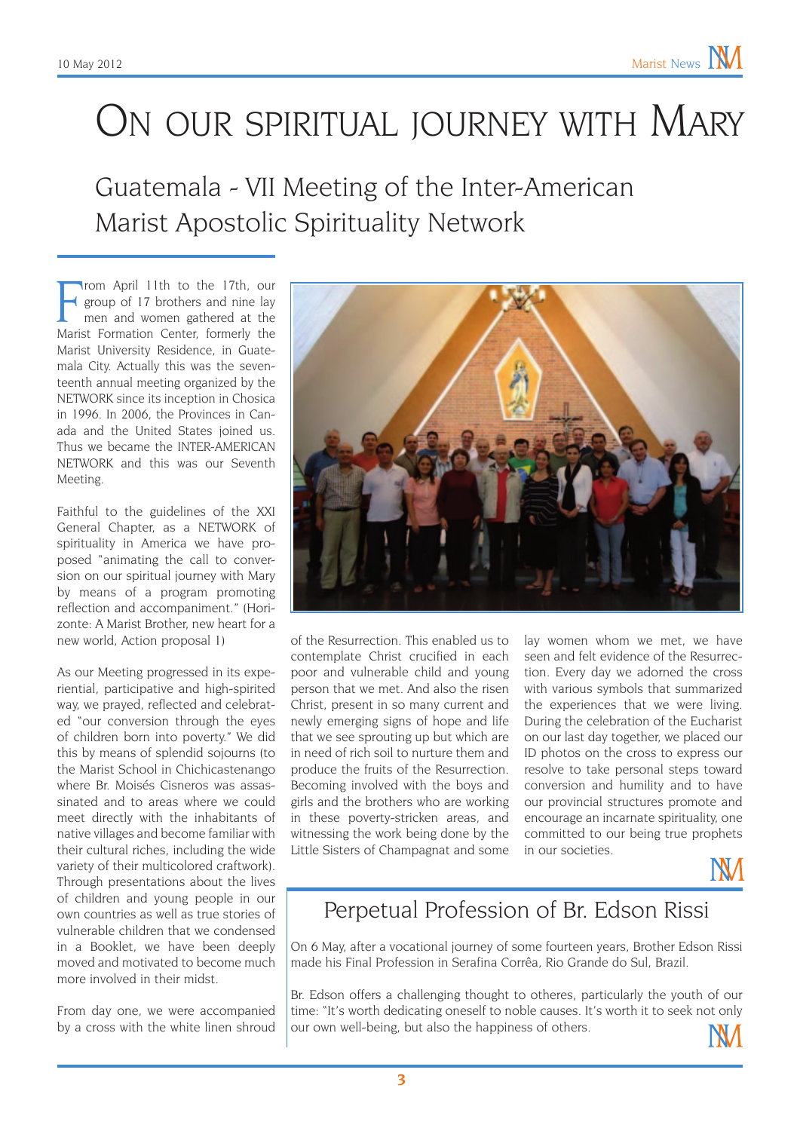### ON OUR SPIRITUAL JOURNEY WITH MARY

#### Guatemala - VII Meeting of the Inter-American Marist Apostolic Spirituality Network

From April 11th to the 17th, our<br>
frame and interval and interval and women gathered at the<br>
Marist Formation Center, formerly the rom April 11th to the 17th, our group of 17 brothers and nine lay men and women gathered at the Marist University Residence, in Guatemala City. Actually this was the seventeenth annual meeting organized by the NETWORK since its inception in Chosica in 1996. In 2006, the Provinces in Canada and the United States joined us. Thus we became the INTER-AMERICAN NETWORK and this was our Seventh Meeting.

Faithful to the guidelines of the XXI General Chapter, as a NETWORK of spirituality in America we have proposed "animating the call to conversion on our spiritual journey with Mary by means of a program promoting reflection and accompaniment." (Horizonte: A Marist Brother, new heart for a new world, Action proposal 1)

As our Meeting progressed in its experiential, participative and high-spirited way, we prayed, reflected and celebrated "our conversion through the eyes of children born into poverty." We did this by means of splendid sojourns (to the Marist School in Chichicastenango where Br. Moisés Cisneros was assassinated and to areas where we could meet directly with the inhabitants of native villages and become familiar with their cultural riches, including the wide variety of their multicolored craftwork). Through presentations about the lives of children and young people in our own countries as well as true stories of vulnerable children that we condensed in a Booklet, we have been deeply moved and motivated to become much more involved in their midst.

From day one, we were accompanied by a cross with the white linen shroud



of the Resurrection. This enabled us to contemplate Christ crucified in each poor and vulnerable child and young person that we met. And also the risen Christ, present in so many current and newly emerging signs of hope and life that we see sprouting up but which are in need of rich soil to nurture them and produce the fruits of the Resurrection. Becoming involved with the boys and girls and the brothers who are working in these poverty-stricken areas, and witnessing the work being done by the Little Sisters of Champagnat and some

lay women whom we met, we have seen and felt evidence of the Resurrection. Every day we adorned the cross with various symbols that summarized the experiences that we were living. During the celebration of the Eucharist on our last day together, we placed our ID photos on the cross to express our resolve to take personal steps toward conversion and humility and to have our provincial structures promote and encourage an incarnate spirituality, one committed to our being true prophets in our societies.



#### Perpetual Profession of Br. Edson Rissi

On 6 May, after a vocational journey of some fourteen years, Brother Edson Rissi made his Final Profession in Serafina Corrêa, Rio Grande do Sul, Brazil.

Br. Edson offers a challenging thought to otheres, particularly the youth of our time: "It's worth dedicating oneself to noble causes. It's worth it to seek not only our own well-being, but also the happiness of others.